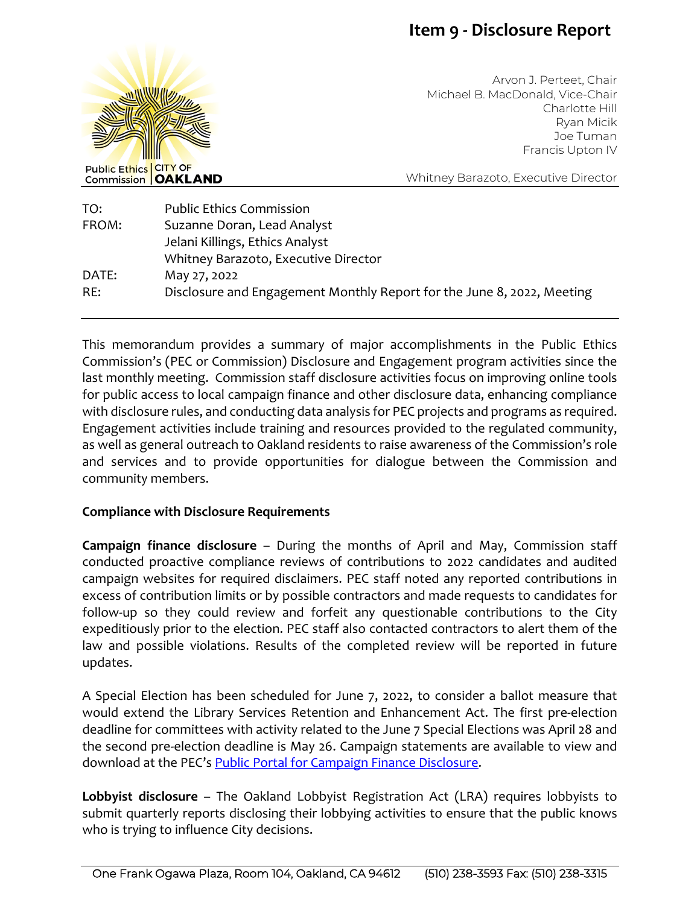# **Item 9 - Disclosure Report**



Arvon J. Perteet, Chair Michael B. MacDonald, Vice-Chair Charlotte Hill Ryan Micik Joe Tuman Francis Upton IV

Whitney Barazoto, Executive Director

| TO:   | <b>Public Ethics Commission</b>                                        |
|-------|------------------------------------------------------------------------|
| FROM: | Suzanne Doran, Lead Analyst                                            |
|       | Jelani Killings, Ethics Analyst                                        |
|       | Whitney Barazoto, Executive Director                                   |
| DATE: | May 27, 2022                                                           |
| RE:   | Disclosure and Engagement Monthly Report for the June 8, 2022, Meeting |
|       |                                                                        |

This memorandum provides a summary of major accomplishments in the Public Ethics Commission's (PEC or Commission) Disclosure and Engagement program activities since the last monthly meeting. Commission staff disclosure activities focus on improving online tools for public access to local campaign finance and other disclosure data, enhancing compliance with disclosure rules, and conducting data analysis for PEC projects and programs as required. Engagement activities include training and resources provided to the regulated community, as well as general outreach to Oakland residents to raise awareness of the Commission's role and services and to provide opportunities for dialogue between the Commission and community members.

### **Compliance with Disclosure Requirements**

**Campaign finance disclosure** – During the months of April and May, Commission staff conducted proactive compliance reviews of contributions to 2022 candidates and audited campaign websites for required disclaimers. PEC staff noted any reported contributions in excess of contribution limits or by possible contractors and made requests to candidates for follow-up so they could review and forfeit any questionable contributions to the City expeditiously prior to the election. PEC staff also contacted contractors to alert them of the law and possible violations. Results of the completed review will be reported in future updates.

A Special Election has been scheduled for June 7, 2022, to consider a ballot measure that would extend the Library Services Retention and Enhancement Act. The first pre-election deadline for committees with activity related to the June 7 Special Elections was April 28 and the second pre-election deadline is May 26. Campaign statements are available to view and download at the PEC's [Public Portal for Campaign Finance Disclosure.](https://oaklandca-my.sharepoint.com/personal/sdoran_oaklandca_gov/Documents/Draft%20Memos/2022/Public%20Portal%20for%20Campaign%20Finance%20and%20Lobbyist%20Disclosure)

**Lobbyist disclosure** – The Oakland Lobbyist Registration Act (LRA) requires lobbyists to submit quarterly reports disclosing their lobbying activities to ensure that the public knows who is trying to influence City decisions.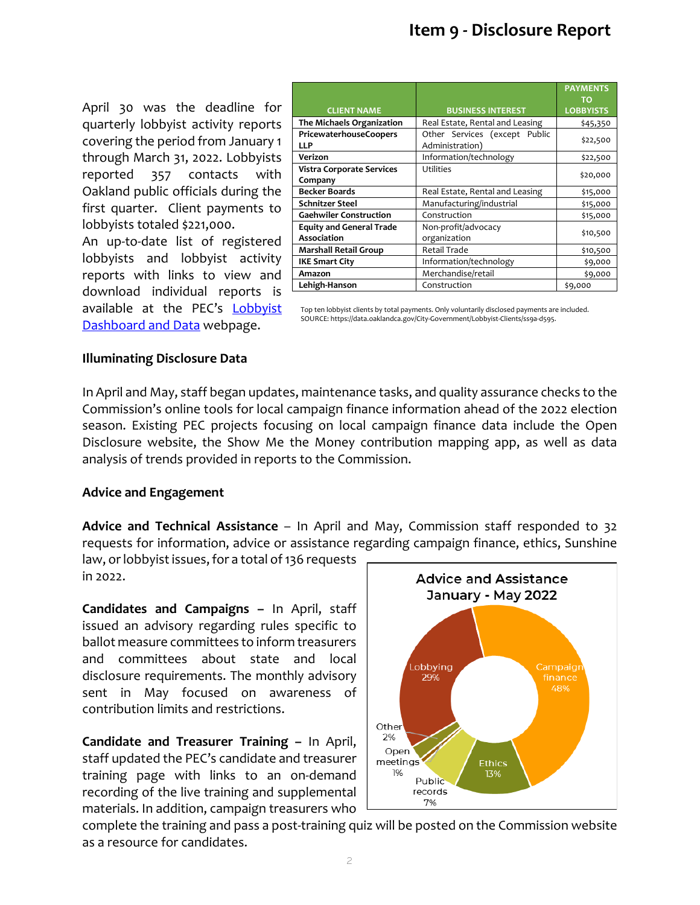April 30 was the deadline for quarterly lobbyist activity reports covering the period from January 1 through March 31, 2022. Lobbyists reported 357 contacts with Oakland public officials during the first quarter. Client payments to lobbyists totaled \$221,000.

An up-to-date list of registered lobbyists and lobbyist activity reports with links to view and download individual reports is available at the PEC's [Lobbyist](https://apps.oaklandca.gov/pec/Lobbyist_Dashboard.aspx)  [Dashboard and Data](https://apps.oaklandca.gov/pec/Lobbyist_Dashboard.aspx) webpage.

|                                  |                                 | <b>PAYMENTS</b><br>ΤO |
|----------------------------------|---------------------------------|-----------------------|
| <b>CLIENT NAME</b>               | <b>BUSINESS INTEREST</b>        | <b>LOBBYISTS</b>      |
| The Michaels Organization        | Real Estate, Rental and Leasing | \$45,350              |
| PricewaterhouseCoopers           | Other Services (except Public   |                       |
| <b>LLP</b>                       | Administration)                 | \$22,500              |
| Verizon                          | Information/technology          | \$22,500              |
| <b>Vistra Corporate Services</b> | Utilities                       | \$20,000              |
| Company                          |                                 |                       |
| <b>Becker Boards</b>             | Real Estate, Rental and Leasing | \$15,000              |
| <b>Schnitzer Steel</b>           | Manufacturing/industrial        | \$15,000              |
| <b>Gaehwiler Construction</b>    | Construction                    | \$15,000              |
| <b>Equity and General Trade</b>  | Non-profit/advocacy             |                       |
| <b>Association</b>               | organization                    | \$10,500              |
| <b>Marshall Retail Group</b>     | <b>Retail Trade</b>             | \$10,500              |
| <b>IKE Smart City</b>            | Information/technology          | \$9,000               |
| Amazon                           | Merchandise/retail              | \$9,000               |
| Lehigh-Hanson                    | Construction                    | \$9,000               |

Top ten lobbyist clients by total payments. Only voluntarily disclosed payments are included. SOURCE: https://data.oaklandca.gov/City-Government/Lobbyist-Clients/ss9a-d595.

### **Illuminating Disclosure Data**

In April and May, staff began updates, maintenance tasks, and quality assurance checks to the Commission's online tools for local campaign finance information ahead of the 2022 election season. Existing PEC projects focusing on local campaign finance data include the Open Disclosure website, the Show Me the Money contribution mapping app, as well as data analysis of trends provided in reports to the Commission.

# **Advice and Engagement**

**Advice and Technical Assistance** – In April and May, Commission staff responded to 32 requests for information, advice or assistance regarding campaign finance, ethics, Sunshine

law, or lobbyist issues, for a total of 136 requests in 2022.

**Candidates and Campaigns –** In April, staff issued an advisory regarding rules specific to ballot measure committees to inform treasurers and committees about state and local disclosure requirements. The monthly advisory sent in May focused on awareness of contribution limits and restrictions.

**Candidate and Treasurer Training –** In April, staff updated the PEC's candidate and treasurer training page with links to an on-demand recording of the live training and supplemental materials. In addition, campaign treasurers who



complete the training and pass a post-training quiz will be posted on the Commission website as a resource for candidates.